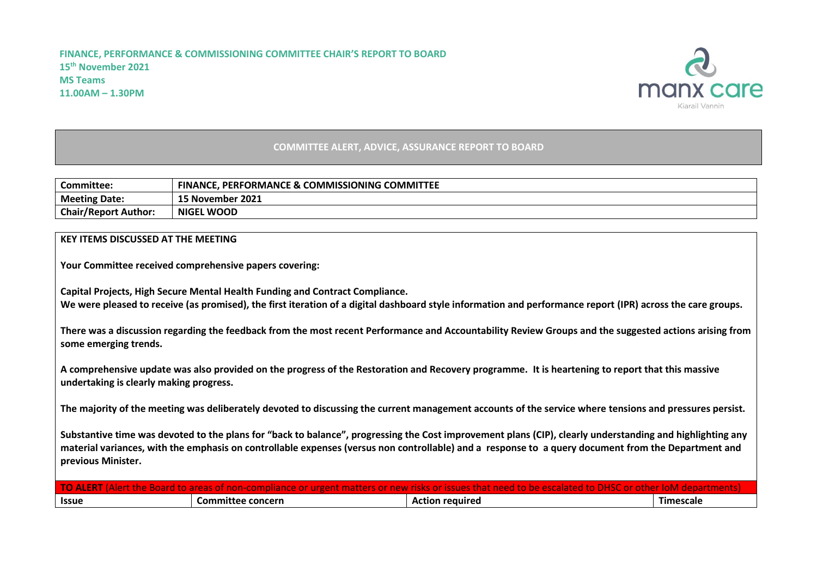## **FINANCE, PERFORMANCE & COMMISSIONING COMMITTEE CHAIR'S REPORT TO BOARD 15th November 2021 MS Teams 11.00AM – 1.30PM**



## **COMMITTEE ALERT, ADVICE, ASSURANCE REPORT TO BOARD**

| Committee:                  | <b>FINANCE. PERFORMANCE &amp; COMMISSIONING COMMITTEE</b> |
|-----------------------------|-----------------------------------------------------------|
| <b>Meeting Date:</b>        | 15 November 2021                                          |
| <b>Chair/Report Author:</b> | <b>NIGEL WOOD</b>                                         |

## **KEY ITEMS DISCUSSED AT THE MEETING**

**Your Committee received comprehensive papers covering:**

**Capital Projects, High Secure Mental Health Funding and Contract Compliance. We were pleased to receive (as promised), the first iteration of a digital dashboard style information and performance report (IPR) across the care groups.**

**There was a discussion regarding the feedback from the most recent Performance and Accountability Review Groups and the suggested actions arising from some emerging trends.** 

**A comprehensive update was also provided on the progress of the Restoration and Recovery programme. It is heartening to report that this massive undertaking is clearly making progress.** 

**The majority of the meeting was deliberately devoted to discussing the current management accounts of the service where tensions and pressures persist.**

**Substantive time was devoted to the plans for "back to balance", progressing the Cost improvement plans (CIP), clearly understanding and highlighting any material variances, with the emphasis on controllable expenses (versus non controllable) and a response to a query document from the Department and previous Minister.** 

| AL    |                   |                        |           |
|-------|-------------------|------------------------|-----------|
| Issue | Committee concern | <b>Action required</b> | Timescale |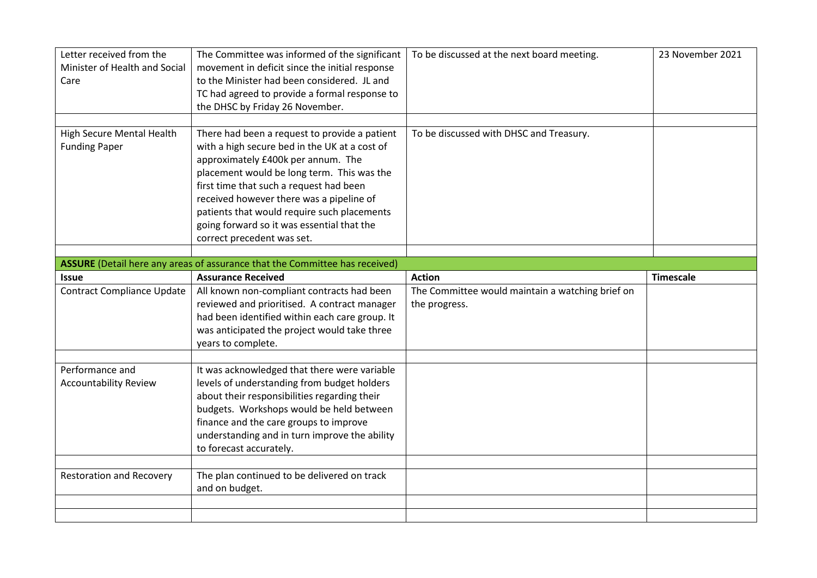| Letter received from the<br>Minister of Health and Social<br>Care | The Committee was informed of the significant<br>movement in deficit since the initial response<br>to the Minister had been considered. JL and<br>TC had agreed to provide a formal response to<br>the DHSC by Friday 26 November.                                                                                                                                                                   | To be discussed at the next board meeting.       | 23 November 2021 |
|-------------------------------------------------------------------|------------------------------------------------------------------------------------------------------------------------------------------------------------------------------------------------------------------------------------------------------------------------------------------------------------------------------------------------------------------------------------------------------|--------------------------------------------------|------------------|
| <b>High Secure Mental Health</b><br><b>Funding Paper</b>          | There had been a request to provide a patient<br>with a high secure bed in the UK at a cost of<br>approximately £400k per annum. The<br>placement would be long term. This was the<br>first time that such a request had been<br>received however there was a pipeline of<br>patients that would require such placements<br>going forward so it was essential that the<br>correct precedent was set. | To be discussed with DHSC and Treasury.          |                  |
|                                                                   | ASSURE (Detail here any areas of assurance that the Committee has received)                                                                                                                                                                                                                                                                                                                          |                                                  |                  |
| <b>Issue</b>                                                      | <b>Assurance Received</b>                                                                                                                                                                                                                                                                                                                                                                            | <b>Action</b>                                    | <b>Timescale</b> |
| <b>Contract Compliance Update</b>                                 | All known non-compliant contracts had been                                                                                                                                                                                                                                                                                                                                                           | The Committee would maintain a watching brief on |                  |
|                                                                   | reviewed and prioritised. A contract manager<br>had been identified within each care group. It<br>was anticipated the project would take three<br>years to complete.                                                                                                                                                                                                                                 | the progress.                                    |                  |
| Performance and<br><b>Accountability Review</b>                   | It was acknowledged that there were variable<br>levels of understanding from budget holders<br>about their responsibilities regarding their<br>budgets. Workshops would be held between<br>finance and the care groups to improve<br>understanding and in turn improve the ability<br>to forecast accurately.                                                                                        |                                                  |                  |
| <b>Restoration and Recovery</b>                                   | The plan continued to be delivered on track<br>and on budget.                                                                                                                                                                                                                                                                                                                                        |                                                  |                  |